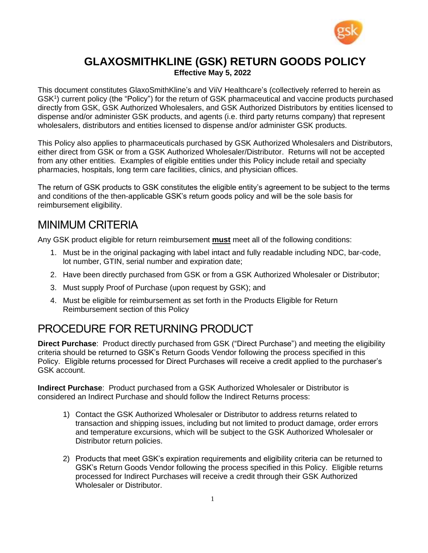

#### **GLAXOSMITHKLINE (GSK) RETURN GOODS POLICY Effective May 5, 2022**

This document constitutes GlaxoSmithKline's and ViiV Healthcare's (collectively referred to herein as GSK<sup>1</sup>) current policy (the "Policy") for the return of GSK pharmaceutical and vaccine products purchased directly from GSK, GSK Authorized Wholesalers, and GSK Authorized Distributors by entities licensed to dispense and/or administer GSK products, and agents (i.e. third party returns company) that represent wholesalers, distributors and entities licensed to dispense and/or administer GSK products.

This Policy also applies to pharmaceuticals purchased by GSK Authorized Wholesalers and Distributors, either direct from GSK or from a GSK Authorized Wholesaler/Distributor. Returns will not be accepted from any other entities. Examples of eligible entities under this Policy include retail and specialty pharmacies, hospitals, long term care facilities, clinics, and physician offices.

The return of GSK products to GSK constitutes the eligible entity's agreement to be subject to the terms and conditions of the then-applicable GSK's return goods policy and will be the sole basis for reimbursement eligibility.

#### MINIMUM CRITERIA

Any GSK product eligible for return reimbursement **must** meet all of the following conditions:

- 1. Must be in the original packaging with label intact and fully readable including NDC, bar-code, lot number, GTIN, serial number and expiration date;
- 2. Have been directly purchased from GSK or from a GSK Authorized Wholesaler or Distributor;
- 3. Must supply Proof of Purchase (upon request by GSK); and
- 4. Must be eligible for reimbursement as set forth in the Products Eligible for Return Reimbursement section of this Policy

# PROCEDURE FOR RETURNING PRODUCT

**Direct Purchase**: Product directly purchased from GSK ("Direct Purchase") and meeting the eligibility criteria should be returned to GSK's Return Goods Vendor following the process specified in this Policy. Eligible returns processed for Direct Purchases will receive a credit applied to the purchaser's GSK account.

**Indirect Purchase**: Product purchased from a GSK Authorized Wholesaler or Distributor is considered an Indirect Purchase and should follow the Indirect Returns process:

- 1) Contact the GSK Authorized Wholesaler or Distributor to address returns related to transaction and shipping issues, including but not limited to product damage, order errors and temperature excursions, which will be subject to the GSK Authorized Wholesaler or Distributor return policies.
- 2) Products that meet GSK's expiration requirements and eligibility criteria can be returned to GSK's Return Goods Vendor following the process specified in this Policy. Eligible returns processed for Indirect Purchases will receive a credit through their GSK Authorized Wholesaler or Distributor.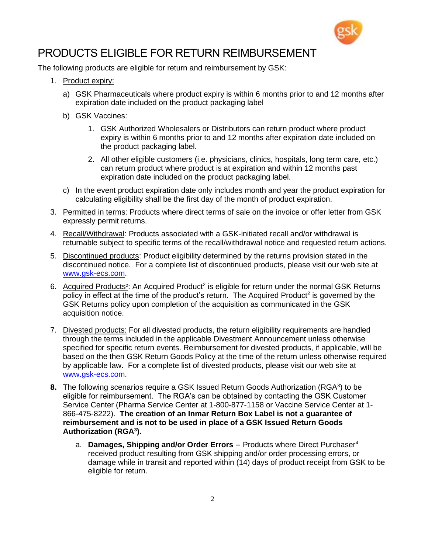

# PRODUCTS ELIGIBLE FOR RETURN REIMBURSEMENT

The following products are eligible for return and reimbursement by GSK:

- 1. Product expiry:
	- a) GSK Pharmaceuticals where product expiry is within 6 months prior to and 12 months after expiration date included on the product packaging label
	- b) GSK Vaccines:
		- 1. GSK Authorized Wholesalers or Distributors can return product where product expiry is within 6 months prior to and 12 months after expiration date included on the product packaging label.
		- 2. All other eligible customers (i.e. physicians, clinics, hospitals, long term care, etc.) can return product where product is at expiration and within 12 months past expiration date included on the product packaging label.
	- c) In the event product expiration date only includes month and year the product expiration for calculating eligibility shall be the first day of the month of product expiration.
- 3. Permitted in terms: Products where direct terms of sale on the invoice or offer letter from GSK expressly permit returns.
- 4. Recall/Withdrawal: Products associated with a GSK-initiated recall and/or withdrawal is returnable subject to specific terms of the recall/withdrawal notice and requested return actions.
- 5. Discontinued products: Product eligibility determined by the returns provision stated in the discontinued notice. For a complete list of discontinued products, please visit our web site at [www.gsk-ecs.com.](http://www.gsk-ecs.com/)
- 6. Acquired Products<sup>2</sup>: An Acquired Product<sup>2</sup> is eligible for return under the normal GSK Returns policy in effect at the time of the product's return. The Acquired Product<sup>2</sup> is governed by the GSK Returns policy upon completion of the acquisition as communicated in the GSK acquisition notice.
- 7. Divested products: For all divested products, the return eligibility requirements are handled through the terms included in the applicable Divestment Announcement unless otherwise specified for specific return events. Reimbursement for divested products, if applicable, will be based on the then GSK Return Goods Policy at the time of the return unless otherwise required by applicable law. For a complete list of divested products, please visit our web site at [www.gsk-ecs.com.](http://www.gsk-ecs.com/)
- **8.** The following scenarios require a GSK Issued Return Goods Authorization (RGA<sup>3</sup>) to be eligible for reimbursement. The RGA's can be obtained by contacting the GSK Customer Service Center (Pharma Service Center at 1-800-877-1158 or Vaccine Service Center at 1- 866-475-8222). **The creation of an Inmar Return Box Label is not a guarantee of reimbursement and is not to be used in place of a GSK Issued Return Goods Authorization (RGA<sup>3</sup> ).**
	- a. **Damages, Shipping and/or Order Errors** -- Products where Direct Purchaser<sup>4</sup> received product resulting from GSK shipping and/or order processing errors, or damage while in transit and reported within (14) days of product receipt from GSK to be eligible for return.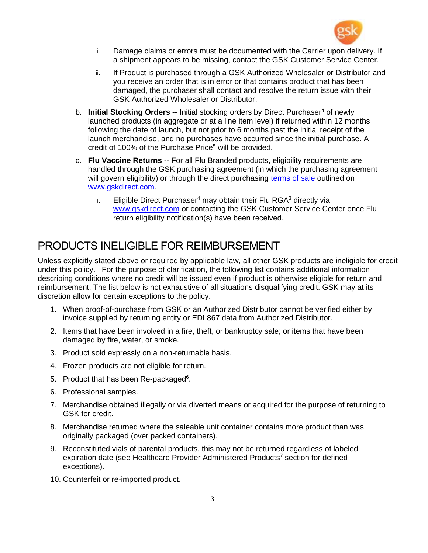

- i. Damage claims or errors must be documented with the Carrier upon delivery. If a shipment appears to be missing, contact the GSK Customer Service Center.
- ii. If Product is purchased through a GSK Authorized Wholesaler or Distributor and you receive an order that is in error or that contains product that has been damaged, the purchaser shall contact and resolve the return issue with their GSK Authorized Wholesaler or Distributor.
- b. **Initial Stocking Orders** -- Initial stocking orders by Direct Purchaser<sup>4</sup> of newly launched products (in aggregate or at a line item level) if returned within 12 months following the date of launch, but not prior to 6 months past the initial receipt of the launch merchandise, and no purchases have occurred since the initial purchase. A credit of 100% of the Purchase Price<sup>5</sup> will be provided.
- c. **Flu Vaccine Returns** -- For all Flu Branded products, eligibility requirements are handled through the GSK purchasing agreement (in which the purchasing agreement will govern eligibility) or through the direct purchasing [terms of sale](https://www.gskdirect.com/medias/GSK-Direct-Terms-Of-Sale-Revised-Nov-2020-Final.pdf?context=bWFzdGVyfHJvb3R8MTU1MDQ1fGFwcGxpY2F0aW9uL3BkZnxoZjIvaDIyLzkyNTc1OTA5NDc4NzAucGRmfDZlMTRmM2JiZmNmZTRkNmJkMzMwZTVhOTlmZThhNGY4NGY5ZDYyMWVhMGVlZDM0NTY3MzMyYTZiYjc0OGM2ZTc) outlined on [www.gskdirect.com.](http://www.gskdirect.com/)
	- i. Eligible Direct Purchaser<sup>4</sup> may obtain their Flu RGA $3$  directly via [www.gskdirect.com](http://www.gskdirect.com/) or contacting the GSK Customer Service Center once Flu return eligibility notification(s) have been received.

## PRODUCTS INELIGIBLE FOR REIMBURSEMENT

Unless explicitly stated above or required by applicable law, all other GSK products are ineligible for credit under this policy. For the purpose of clarification, the following list contains additional information describing conditions where no credit will be issued even if product is otherwise eligible for return and reimbursement. The list below is not exhaustive of all situations disqualifying credit. GSK may at its discretion allow for certain exceptions to the policy.

- 1. When proof-of-purchase from GSK or an Authorized Distributor cannot be verified either by invoice supplied by returning entity or EDI 867 data from Authorized Distributor.
- 2. Items that have been involved in a fire, theft, or bankruptcy sale; or items that have been damaged by fire, water, or smoke.
- 3. Product sold expressly on a non-returnable basis.
- 4. Frozen products are not eligible for return.
- 5. Product that has been Re-packaged<sup>6</sup>.
- 6. Professional samples.
- 7. Merchandise obtained illegally or via diverted means or acquired for the purpose of returning to GSK for credit.
- 8. Merchandise returned where the saleable unit container contains more product than was originally packaged (over packed containers).
- 9. Reconstituted vials of parental products, this may not be returned regardless of labeled expiration date (see Healthcare Provider Administered Products<sup>7</sup> section for defined exceptions).
- 10. Counterfeit or re-imported product.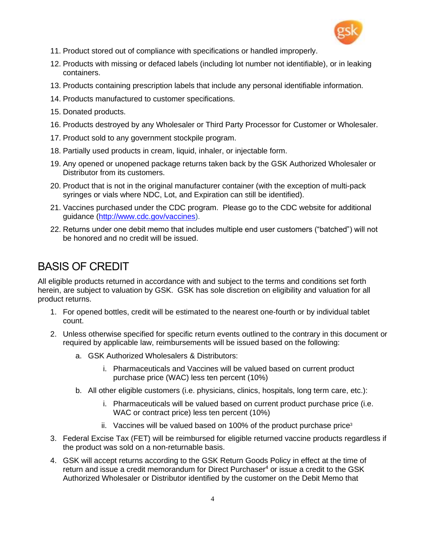

- 11. Product stored out of compliance with specifications or handled improperly.
- 12. Products with missing or defaced labels (including lot number not identifiable), or in leaking containers.
- 13. Products containing prescription labels that include any personal identifiable information.
- 14. Products manufactured to customer specifications.
- 15. Donated products.
- 16. Products destroyed by any Wholesaler or Third Party Processor for Customer or Wholesaler.
- 17. Product sold to any government stockpile program.
- 18. Partially used products in cream, liquid, inhaler, or injectable form.
- 19. Any opened or unopened package returns taken back by the GSK Authorized Wholesaler or Distributor from its customers.
- 20. Product that is not in the original manufacturer container (with the exception of multi-pack syringes or vials where NDC, Lot, and Expiration can still be identified).
- 21. Vaccines purchased under the CDC program. Please go to the CDC website for additional guidance [\(http://www.cdc.gov/vaccines\)](http://www.cdc.gov/vaccines).
- 22. Returns under one debit memo that includes multiple end user customers ("batched") will not be honored and no credit will be issued.

# BASIS OF CREDIT

All eligible products returned in accordance with and subject to the terms and conditions set forth herein, are subject to valuation by GSK. GSK has sole discretion on eligibility and valuation for all product returns.

- 1. For opened bottles, credit will be estimated to the nearest one-fourth or by individual tablet count.
- 2. Unless otherwise specified for specific return events outlined to the contrary in this document or required by applicable law, reimbursements will be issued based on the following:
	- a. GSK Authorized Wholesalers & Distributors:
		- i. Pharmaceuticals and Vaccines will be valued based on current product purchase price (WAC) less ten percent (10%)
	- b. All other eligible customers (i.e. physicians, clinics, hospitals, long term care, etc.):
		- i. Pharmaceuticals will be valued based on current product purchase price (i.e. WAC or contract price) less ten percent (10%)
		- ii. Vaccines will be valued based on 100% of the product purchase price<sup>3</sup>
- 3. Federal Excise Tax (FET) will be reimbursed for eligible returned vaccine products regardless if the product was sold on a non-returnable basis.
- 4. GSK will accept returns according to the GSK Return Goods Policy in effect at the time of return and issue a credit memorandum for Direct Purchaser $4$  or issue a credit to the GSK Authorized Wholesaler or Distributor identified by the customer on the Debit Memo that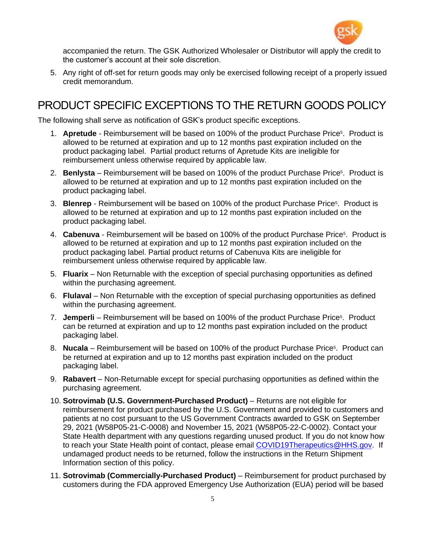

accompanied the return. The GSK Authorized Wholesaler or Distributor will apply the credit to the customer's account at their sole discretion.

5. Any right of off-set for return goods may only be exercised following receipt of a properly issued credit memorandum.

# PRODUCT SPECIFIC EXCEPTIONS TO THE RETURN GOODS POLICY

The following shall serve as notification of GSK's product specific exceptions.

- 1. **Apretude** Reimbursement will be based on 100% of the product Purchase Price<sup>5</sup>. Product is allowed to be returned at expiration and up to 12 months past expiration included on the product packaging label. Partial product returns of Apretude Kits are ineligible for reimbursement unless otherwise required by applicable law.
- 2. **Benlysta** Reimbursement will be based on 100% of the product Purchase Price<sup>5</sup>. Product is allowed to be returned at expiration and up to 12 months past expiration included on the product packaging label.
- 3. **Blenrep**  Reimbursement will be based on 100% of the product Purchase Price<sup>5</sup> . Product is allowed to be returned at expiration and up to 12 months past expiration included on the product packaging label.
- 4. **Cabenuva** Reimbursement will be based on 100% of the product Purchase Price<sup>5</sup>. Product is allowed to be returned at expiration and up to 12 months past expiration included on the product packaging label. Partial product returns of Cabenuva Kits are ineligible for reimbursement unless otherwise required by applicable law.
- 5. **Fluarix** Non Returnable with the exception of special purchasing opportunities as defined within the purchasing agreement.
- 6. **Flulaval**  Non Returnable with the exception of special purchasing opportunities as defined within the purchasing agreement.
- 7. **Jemperli** Reimbursement will be based on 100% of the product Purchase Price<sup>5</sup>. Product can be returned at expiration and up to 12 months past expiration included on the product packaging label.
- 8. Nucala Reimbursement will be based on 100% of the product Purchase Price<sup>5</sup>. Product can be returned at expiration and up to 12 months past expiration included on the product packaging label.
- 9. **Rabavert** Non-Returnable except for special purchasing opportunities as defined within the purchasing agreement.
- 10. **Sotrovimab (U.S. Government-Purchased Product)**  Returns are not eligible for reimbursement for product purchased by the U.S. Government and provided to customers and patients at no cost pursuant to the US Government Contracts awarded to GSK on September 29, 2021 (W58P05-21-C-0008) and November 15, 2021 (W58P05-22-C-0002). Contact your State Health department with any questions regarding unused product. If you do not know how to reach your State Health point of contact, please email [COVID19Therapeutics@HHS.gov.](mailto:COVID19Therapeutics@HHS.gov) If undamaged product needs to be returned, follow the instructions in the Return Shipment Information section of this policy.
- 11. **Sotrovimab (Commercially-Purchased Product)** Reimbursement for product purchased by customers during the FDA approved Emergency Use Authorization (EUA) period will be based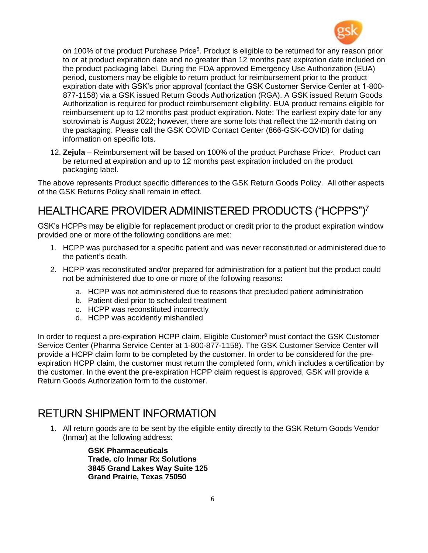

on 100% of the product Purchase Price<sup>5</sup>. Product is eligible to be returned for any reason prior to or at product expiration date and no greater than 12 months past expiration date included on the product packaging label. During the FDA approved Emergency Use Authorization (EUA) period, customers may be eligible to return product for reimbursement prior to the product expiration date with GSK's prior approval (contact the GSK Customer Service Center at 1-800- 877-1158) via a GSK issued Return Goods Authorization (RGA). A GSK issued Return Goods Authorization is required for product reimbursement eligibility. EUA product remains eligible for reimbursement up to 12 months past product expiration. Note: The earliest expiry date for any sotrovimab is August 2022; however, there are some lots that reflect the 12-month dating on the packaging. Please call the GSK COVID Contact Center (866-GSK-COVID) for dating information on specific lots.

12. Zejula – Reimbursement will be based on 100% of the product Purchase Price<sup>5</sup>. Product can be returned at expiration and up to 12 months past expiration included on the product packaging label.

The above represents Product specific differences to the GSK Return Goods Policy. All other aspects of the GSK Returns Policy shall remain in effect.

# HEALTHCARE PROVIDER ADMINISTERED PRODUCTS ("HCPPS")<sup>7</sup>

GSK's HCPPs may be eligible for replacement product or credit prior to the product expiration window provided one or more of the following conditions are met:

- 1. HCPP was purchased for a specific patient and was never reconstituted or administered due to the patient's death.
- 2. HCPP was reconstituted and/or prepared for administration for a patient but the product could not be administered due to one or more of the following reasons:
	- a. HCPP was not administered due to reasons that precluded patient administration
	- b. Patient died prior to scheduled treatment
	- c. HCPP was reconstituted incorrectly
	- d. HCPP was accidently mishandled

In order to request a pre-expiration HCPP claim, Eligible Customer $<sup>8</sup>$  must contact the GSK Customer</sup> Service Center (Pharma Service Center at 1-800-877-1158). The GSK Customer Service Center will provide a HCPP claim form to be completed by the customer. In order to be considered for the preexpiration HCPP claim, the customer must return the completed form, which includes a certification by the customer. In the event the pre-expiration HCPP claim request is approved, GSK will provide a Return Goods Authorization form to the customer.

### RETURN SHIPMENT INFORMATION

1. All return goods are to be sent by the eligible entity directly to the GSK Return Goods Vendor (Inmar) at the following address:

> **GSK Pharmaceuticals Trade, c/o Inmar Rx Solutions 3845 Grand Lakes Way Suite 125 Grand Prairie, Texas 75050**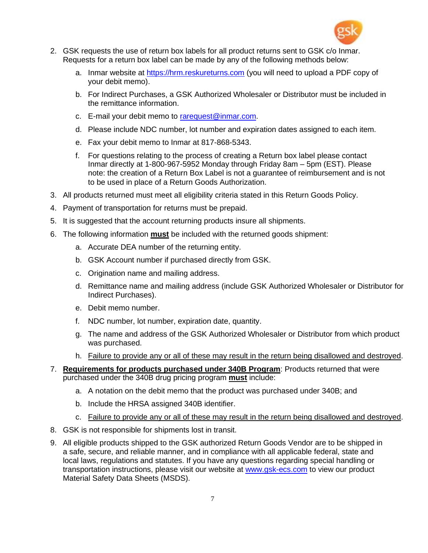

- 2. GSK requests the use of return box labels for all product returns sent to GSK c/o Inmar. Requests for a return box label can be made by any of the following methods below:
	- a. Inmar website at [https://hrm.reskureturns.com](https://hrm.reskureturns.com/) (you will need to upload a PDF copy of your debit memo).
	- b. For Indirect Purchases, a GSK Authorized Wholesaler or Distributor must be included in the remittance information.
	- c. E-mail your debit memo to [rarequest@inmar.com.](mailto:rarequest@inmar.com)
	- d. Please include NDC number, lot number and expiration dates assigned to each item.
	- e. Fax your debit memo to Inmar at 817-868-5343.
	- f. For questions relating to the process of creating a Return box label please contact Inmar directly at 1-800-967-5952 Monday through Friday 8am – 5pm (EST). Please note: the creation of a Return Box Label is not a guarantee of reimbursement and is not to be used in place of a Return Goods Authorization.
- 3. All products returned must meet all eligibility criteria stated in this Return Goods Policy.
- 4. Payment of transportation for returns must be prepaid.
- 5. It is suggested that the account returning products insure all shipments.
- 6. The following information **must** be included with the returned goods shipment:
	- a. Accurate DEA number of the returning entity.
	- b. GSK Account number if purchased directly from GSK.
	- c. Origination name and mailing address.
	- d. Remittance name and mailing address (include GSK Authorized Wholesaler or Distributor for Indirect Purchases).
	- e. Debit memo number.
	- f. NDC number, lot number, expiration date, quantity.
	- g. The name and address of the GSK Authorized Wholesaler or Distributor from which product was purchased.
	- h. Failure to provide any or all of these may result in the return being disallowed and destroyed.
- 7. **Requirements for products purchased under 340B Program**: Products returned that were purchased under the 340B drug pricing program **must** include:
	- a. A notation on the debit memo that the product was purchased under 340B; and
	- b. Include the HRSA assigned 340B identifier.
	- c. Failure to provide any or all of these may result in the return being disallowed and destroyed.
- 8. GSK is not responsible for shipments lost in transit.
- 9. All eligible products shipped to the GSK authorized Return Goods Vendor are to be shipped in a safe, secure, and reliable manner, and in compliance with all applicable federal, state and local laws, regulations and statutes. If you have any questions regarding special handling or transportation instructions, please visit our website at [www.gsk-ecs.com](http://www.gsk-ecs.com/) to view our product Material Safety Data Sheets (MSDS).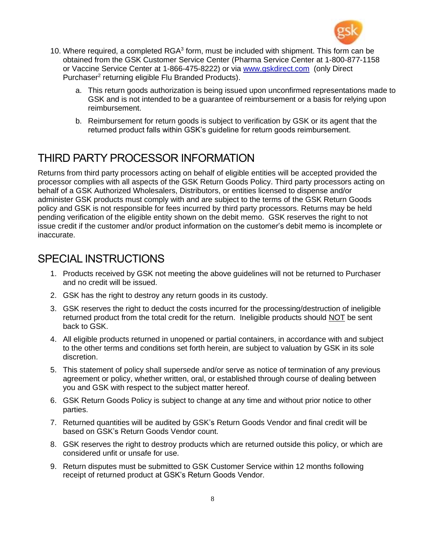

- 10. Where required, a completed RGA<sup>3</sup> form, must be included with shipment. This form can be obtained from the GSK Customer Service Center (Pharma Service Center at 1-800-877-1158 or Vaccine Service Center at 1-866-475-8222) or via [www.gskdirect.com](http://www.gskdirect.com/) (only Direct Purchaser<sup>2</sup> returning eligible Flu Branded Products).
	- a. This return goods authorization is being issued upon unconfirmed representations made to GSK and is not intended to be a guarantee of reimbursement or a basis for relying upon reimbursement.
	- b. Reimbursement for return goods is subject to verification by GSK or its agent that the returned product falls within GSK's guideline for return goods reimbursement.

## THIRD PARTY PROCESSOR INFORMATION

Returns from third party processors acting on behalf of eligible entities will be accepted provided the processor complies with all aspects of the GSK Return Goods Policy. Third party processors acting on behalf of a GSK Authorized Wholesalers, Distributors, or entities licensed to dispense and/or administer GSK products must comply with and are subject to the terms of the GSK Return Goods policy and GSK is not responsible for fees incurred by third party processors. Returns may be held pending verification of the eligible entity shown on the debit memo. GSK reserves the right to not issue credit if the customer and/or product information on the customer's debit memo is incomplete or inaccurate.

### SPECIAL INSTRUCTIONS

- 1. Products received by GSK not meeting the above guidelines will not be returned to Purchaser and no credit will be issued.
- 2. GSK has the right to destroy any return goods in its custody.
- 3. GSK reserves the right to deduct the costs incurred for the processing/destruction of ineligible returned product from the total credit for the return. Ineligible products should NOT be sent back to GSK.
- 4. All eligible products returned in unopened or partial containers, in accordance with and subject to the other terms and conditions set forth herein, are subject to valuation by GSK in its sole discretion.
- 5. This statement of policy shall supersede and/or serve as notice of termination of any previous agreement or policy, whether written, oral, or established through course of dealing between you and GSK with respect to the subject matter hereof.
- 6. GSK Return Goods Policy is subject to change at any time and without prior notice to other parties.
- 7. Returned quantities will be audited by GSK's Return Goods Vendor and final credit will be based on GSK's Return Goods Vendor count.
- 8. GSK reserves the right to destroy products which are returned outside this policy, or which are considered unfit or unsafe for use.
- 9. Return disputes must be submitted to GSK Customer Service within 12 months following receipt of returned product at GSK's Return Goods Vendor.